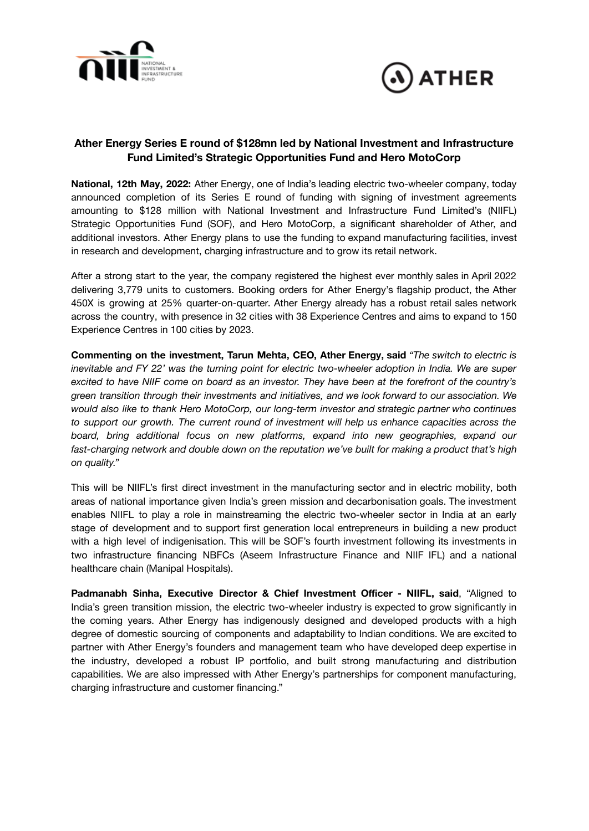



# **Ather Energy Series E round of \$128mn led by National Investment and Infrastructure Fund Limited's Strategic Opportunities Fund and Hero MotoCorp**

**National, 12th May, 2022:** Ather Energy, one of India's leading electric two-wheeler company, today announced completion of its Series E round of funding with signing of investment agreements amounting to \$128 million with National Investment and Infrastructure Fund Limited's (NIIFL) Strategic Opportunities Fund (SOF), and Hero MotoCorp, a significant shareholder of Ather, and additional investors. Ather Energy plans to use the funding to expand manufacturing facilities, invest in research and development, charging infrastructure and to grow its retail network.

After a strong start to the year, the company registered the highest ever monthly sales in April 2022 delivering 3,779 units to customers. Booking orders for Ather Energy's flagship product, the Ather 450X is growing at 25% quarter-on-quarter. Ather Energy already has a robust retail sales network across the country, with presence in 32 cities with 38 Experience Centres and aims to expand to 150 Experience Centres in 100 cities by 2023.

**Commenting on the investment, Tarun Mehta, CEO, Ather Energy, said** *"The switch to electric is inevitable and FY 22' was the turning point for electric two-wheeler adoption in India. We are super* excited to have NIIF come on board as an investor. They have been at the forefront of the country's *green transition through their investments and initiatives, and we look forward to our association. We would also like to thank Hero MotoCorp, our long-term investor and strategic partner who continues to support our growth. The current round of investment will help us enhance capacities across the board, bring additional focus on new platforms, expand into new geographies, expand our fast-charging network and double down on the reputation we've built for making a product that's high on quality."*

This will be NIIFL's first direct investment in the manufacturing sector and in electric mobility, both areas of national importance given India's green mission and decarbonisation goals. The investment enables NIIFL to play a role in mainstreaming the electric two-wheeler sector in India at an early stage of development and to support first generation local entrepreneurs in building a new product with a high level of indigenisation. This will be SOF's fourth investment following its investments in two infrastructure financing NBFCs (Aseem Infrastructure Finance and NIIF IFL) and a national healthcare chain (Manipal Hospitals).

**Padmanabh Sinha, Executive Director & Chief Investment Officer - NIIFL, said**, "Aligned to India's green transition mission, the electric two-wheeler industry is expected to grow significantly in the coming years. Ather Energy has indigenously designed and developed products with a high degree of domestic sourcing of components and adaptability to Indian conditions. We are excited to partner with Ather Energy's founders and management team who have developed deep expertise in the industry, developed a robust IP portfolio, and built strong manufacturing and distribution capabilities. We are also impressed with Ather Energy's partnerships for component manufacturing, charging infrastructure and customer financing."